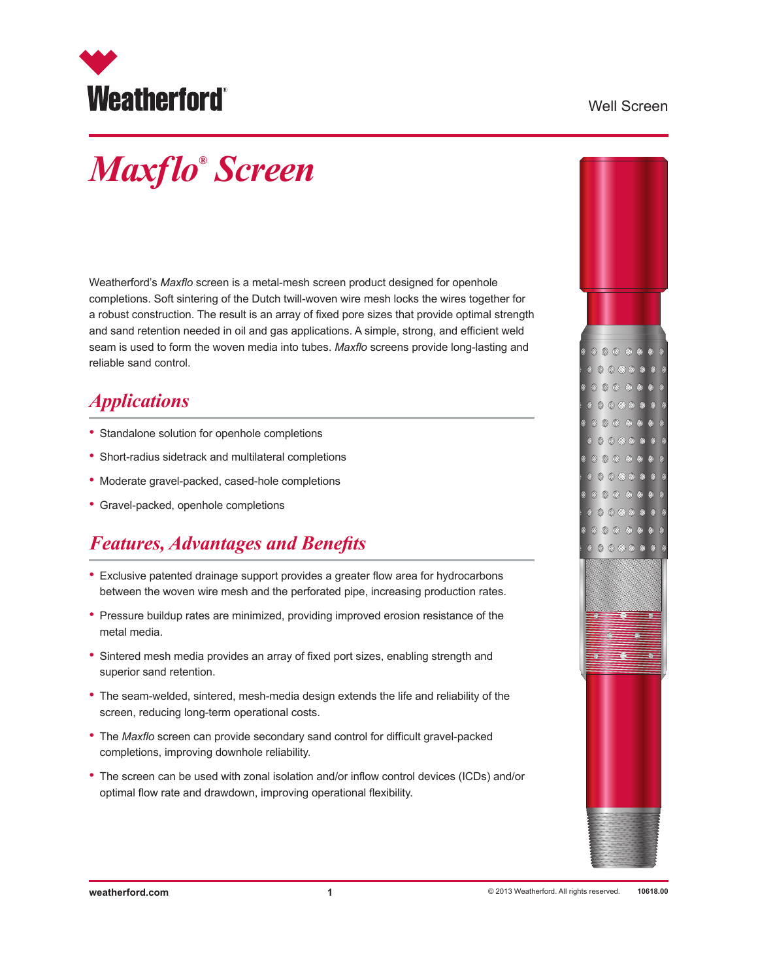

#### Well Screen

# *Maxflo® Screen*

Weatherford's *Maxflo* screen is a metal-mesh screen product designed for openhole completions. Soft sintering of the Dutch twill-woven wire mesh locks the wires together for a robust construction. The result is an array of fixed pore sizes that provide optimal strength and sand retention needed in oil and gas applications. A simple, strong, and efficient weld seam is used to form the woven media into tubes. *Maxflo* screens provide long-lasting and reliable sand control.

#### *Applications*

- Standalone solution for openhole completions
- Short-radius sidetrack and multilateral completions
- Moderate gravel-packed, cased-hole completions
- Gravel-packed, openhole completions

### *Features, Advantages and Benefits*

- Exclusive patented drainage support provides a greater flow area for hydrocarbons between the woven wire mesh and the perforated pipe, increasing production rates.
- Pressure buildup rates are minimized, providing improved erosion resistance of the metal media.
- Sintered mesh media provides an array of fixed port sizes, enabling strength and superior sand retention.
- The seam-welded, sintered, mesh-media design extends the life and reliability of the screen, reducing long-term operational costs.
- The *Maxflo* screen can provide secondary sand control for difficult gravel-packed completions, improving downhole reliability.
- The screen can be used with zonal isolation and/or inflow control devices (ICDs) and/or optimal flow rate and drawdown, improving operational flexibility.